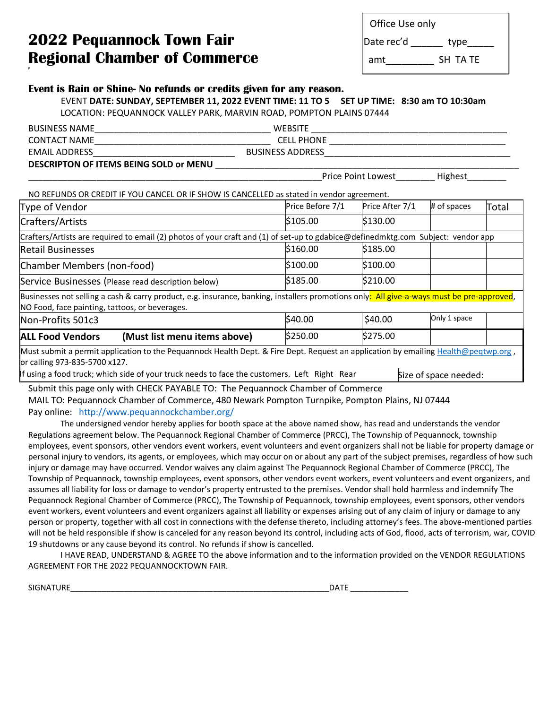## **2022 Pequannock Town Fair Regional Chamber of Commerce and SH TA TE**

| Office Use only |      |
|-----------------|------|
| Date rec'd      | type |

## **Event is Rain or Shine- No refunds or credits given for any reason.**

EVENT **DATE: SUNDAY, SEPTEMBER 11, 2022 EVENT TIME: 11 TO 5 SET UP TIME: 8:30 am TO 10:30am** LOCATION: PEQUANNOCK VALLEY PARK, MARVIN ROAD, POMPTON PLAINS 07444

| BUSINESS NAME                                   | <b>WEBSITE</b>          |  |  |  |
|-------------------------------------------------|-------------------------|--|--|--|
| CONTACT NAME                                    | <b>CELL PHONE</b>       |  |  |  |
| EMAIL ADDRESS                                   | <b>BUSINESS ADDRESS</b> |  |  |  |
| <b>DECCRIPTON OF ITEMS REING COLD of MENILL</b> |                         |  |  |  |

**DESCRIPTON OF ITEMS BEING SOLD or MENU** \_\_\_\_\_\_\_\_\_\_\_\_\_\_\_\_\_\_\_\_\_\_\_\_\_\_\_\_\_\_\_\_\_\_\_\_\_\_\_\_\_\_\_\_\_\_\_\_\_\_\_\_\_\_\_\_\_\_\_\_\_\_

P

Price Point Lowest Highest

NO REFUNDS OR CREDIT IF YOU CANCEL OR IF SHOW IS CANCELLED as stated in vendor agreement.

| Type of Vendor                                                                                                                                                                              | Price Before 7/1 | Price After 7/1 | # of spaces  | Total |  |  |  |  |  |
|---------------------------------------------------------------------------------------------------------------------------------------------------------------------------------------------|------------------|-----------------|--------------|-------|--|--|--|--|--|
| Crafters/Artists                                                                                                                                                                            | \$105.00         | \$130.00        |              |       |  |  |  |  |  |
| Crafters/Artists are required to email (2) photos of your craft and (1) of set-up to gdabice@definedmktg.com Subject: vendor app                                                            |                  |                 |              |       |  |  |  |  |  |
| <b>Retail Businesses</b>                                                                                                                                                                    | \$160.00         | \$185.00        |              |       |  |  |  |  |  |
| Chamber Members (non-food)                                                                                                                                                                  | \$100.00         | \$100.00        |              |       |  |  |  |  |  |
| Service Businesses (Please read description below)                                                                                                                                          | \$185.00         | \$210.00        |              |       |  |  |  |  |  |
| Businesses not selling a cash & carry product, e.g. insurance, banking, installers promotions only: All give-a-ways must be pre-approved,<br>NO Food, face painting, tattoos, or beverages. |                  |                 |              |       |  |  |  |  |  |
| Non-Profits 501c3                                                                                                                                                                           | \$40.00          | \$40.00         | Only 1 space |       |  |  |  |  |  |
| <b>ALL Food Vendors</b><br>(Must list menu items above)                                                                                                                                     | \$250.00         | \$275.00        |              |       |  |  |  |  |  |
| Must submit a permit application to the Pequannock Health Dept. & Fire Dept. Request an application by emailing Health@peqtwp.org,<br>or calling 973-835-5700 x127.                         |                  |                 |              |       |  |  |  |  |  |
| If using a food truck; which side of your truck needs to face the customers. Left Right Rear<br>Size of space needed:                                                                       |                  |                 |              |       |  |  |  |  |  |

Submit this page only with CHECK PAYABLE TO: The Pequannock Chamber of Commerce

MAIL TO: Pequannock Chamber of Commerce, 480 Newark Pompton Turnpike, Pompton Plains, NJ 07444 Pay online: http://www.pequannockchamber.org/

The undersigned vendor hereby applies for booth space at the above named show, has read and understands the vendor Regulations agreement below. The Pequannock Regional Chamber of Commerce (PRCC), The Township of Pequannock, township employees, event sponsors, other vendors event workers, event volunteers and event organizers shall not be liable for property damage or personal injury to vendors, its agents, or employees, which may occur on or about any part of the subject premises, regardless of how such injury or damage may have occurred. Vendor waives any claim against The Pequannock Regional Chamber of Commerce (PRCC), The Township of Pequannock, township employees, event sponsors, other vendors event workers, event volunteers and event organizers, and assumes all liability for loss or damage to vendor's property entrusted to the premises. Vendor shall hold harmless and indemnify The Pequannock Regional Chamber of Commerce (PRCC), The Township of Pequannock, township employees, event sponsors, other vendors event workers, event volunteers and event organizers against all liability or expenses arising out of any claim of injury or damage to any person or property, together with all cost in connections with the defense thereto, including attorney's fees. The above-mentioned parties will not be held responsible if show is canceled for any reason beyond its control, including acts of God, flood, acts of terrorism, war, COVID 19 shutdowns or any cause beyond its control. No refunds if show is cancelled.

I HAVE READ, UNDERSTAND & AGREE TO the above information and to the information provided on the VENDOR REGULATIONS AGREEMENT FOR THE 2022 PEQUANNOCKTOWN FAIR.

 $S$ ignature  $\Box$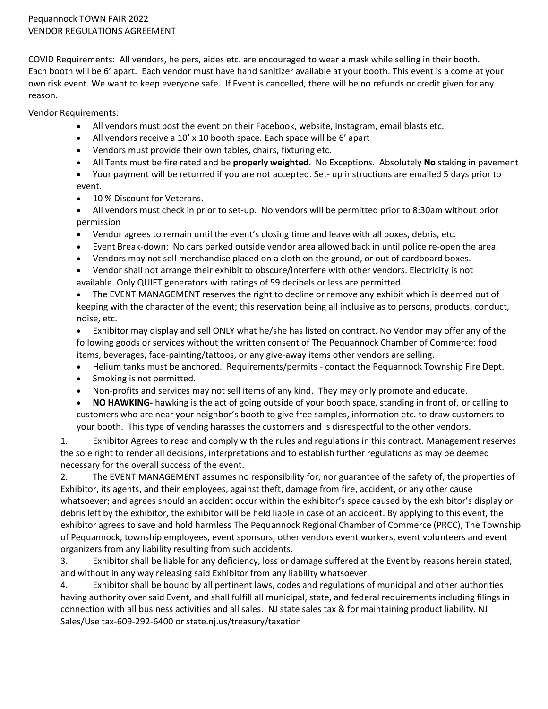COVID Requirements: All vendors, helpers, aides etc. are encouraged to wear a mask while selling in their booth. Each booth will be 6' apart. Each vendor must have hand sanitizer available at your booth. This event is a come at your own risk event. We want to keep everyone safe. If Event is cancelled, there will be no refunds or credit given for any reason.

Vendor Requirements:

- All vendors must post the event on their Facebook, website, Instagram, email blasts etc.
- All vendors receive a 10' x 10 booth space. Each space will be 6' apart
- Vendors must provide their own tables, chairs, fixturing etc.
- All Tents must be fire rated and be **properly weighted**. No Exceptions. Absolutely **No** staking in pavement
- Your payment will be returned if you are not accepted. Set- up instructions are emailed 5 days prior to event.
- 10 % Discount for Veterans.
- All vendors must check in prior to set-up. No vendors will be permitted prior to 8:30am without prior permission
- Vendor agrees to remain until the event's closing time and leave with all boxes, debris, etc.
- Event Break-down: No cars parked outside vendor area allowed back in until police re-open the area.
- Vendors may not sell merchandise placed on a cloth on the ground, or out of cardboard boxes.
- Vendor shall not arrange their exhibit to obscure/interfere with other vendors. Electricity is not available. Only QUIET generators with ratings of 59 decibels or less are permitted.
- The EVENT MANAGEMENT reserves the right to decline or remove any exhibit which is deemed out of keeping with the character of the event; this reservation being all inclusive as to persons, products, conduct, noise, etc.

• Exhibitor may display and sell ONLY what he/she has listed on contract. No Vendor may offer any of the following goods or services without the written consent of The Pequannock Chamber of Commerce: food items, beverages, face-painting/tattoos, or any give-away items other vendors are selling.

- Helium tanks must be anchored. Requirements/permits contact the Pequannock Township Fire Dept.
- Smoking is not permitted.
- Non-profits and services may not sell items of any kind. They may only promote and educate.

• **NO HAWKING-** hawking is the act of going outside of your booth space, standing in front of, or calling to customers who are near your neighbor's booth to give free samples, information etc. to draw customers to your booth. This type of vending harasses the customers and is disrespectful to the other vendors.

1. Exhibitor Agrees to read and comply with the rules and regulations in this contract. Management reserves the sole right to render all decisions, interpretations and to establish further regulations as may be deemed necessary for the overall success of the event.

2. The EVENT MANAGEMENT assumes no responsibility for, nor guarantee of the safety of, the properties of Exhibitor, its agents, and their employees, against theft, damage from fire, accident, or any other cause whatsoever; and agrees should an accident occur within the exhibitor's space caused by the exhibitor's display or debris left by the exhibitor, the exhibitor will be held liable in case of an accident. By applying to this event, the exhibitor agrees to save and hold harmless The Pequannock Regional Chamber of Commerce (PRCC), The Township of Pequannock, township employees, event sponsors, other vendors event workers, event volunteers and event organizers from any liability resulting from such accidents.

3. Exhibitor shall be liable for any deficiency, loss or damage suffered at the Event by reasons herein stated, and without in any way releasing said Exhibitor from any liability whatsoever.

4. Exhibitor shall be bound by all pertinent laws, codes and regulations of municipal and other authorities having authority over said Event, and shall fulfill all municipal, state, and federal requirements including filings in connection with all business activities and all sales. NJ state sales tax & for maintaining product liability. NJ Sales/Use tax-609-292-6400 or state.nj.us/treasury/taxation